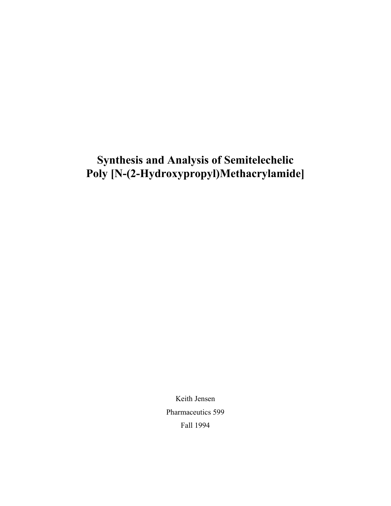# **Synthesis and Analysis of Semitelechelic Poly [N-(2-Hydroxypropyl)Methacrylamide]**

Keith Jensen Pharmaceutics 599 Fall 1994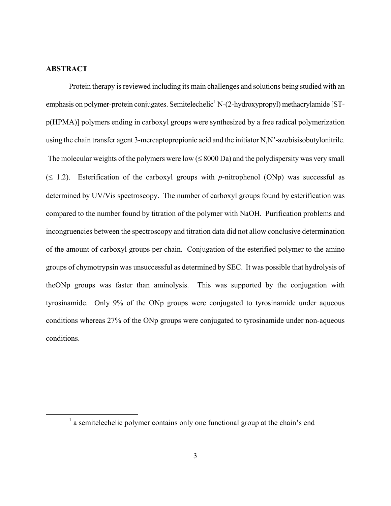## <span id="page-2-0"></span>**ABSTRACT**

Protein therapy is reviewed including its main challenges and solutions being studied with an emphasis on polymer-protein conjugates. Semitelechelic<sup>1</sup> [N](#page-2-1)-(2-hydroxypropyl) methacrylamide [STp(HPMA)] polymers ending in carboxyl groups were synthesized by a free radical polymerization using the chain transfer agent 3-mercaptopropionic acid and the initiator N,N'-azobisisobutylonitrile. The molecular weights of the polymers were low  $(\leq 8000 \text{ Da})$  and the polydispersity was very small  $(≤ 1.2)$ . Esterification of the carboxyl groups with *p*-nitrophenol (ONp) was successful as determined by UV/Vis spectroscopy. The number of carboxyl groups found by esterification was compared to the number found by titration of the polymer with NaOH. Purification problems and incongruencies between the spectroscopy and titration data did not allow conclusive determination of the amount of carboxyl groups per chain. Conjugation of the esterified polymer to the amino groups of chymotrypsin was unsuccessful as determined by SEC. It was possible that hydrolysis of theONp groups was faster than aminolysis. This was supported by the conjugation with tyrosinamide. Only 9% of the ONp groups were conjugated to tyrosinamide under aqueous conditions whereas 27% of the ONp groups were conjugated to tyrosinamide under non-aqueous conditions.

<span id="page-2-1"></span> $\overline{1}$  $\frac{1}{2}$  a semitelechelic polymer contains only one functional group at the chain's end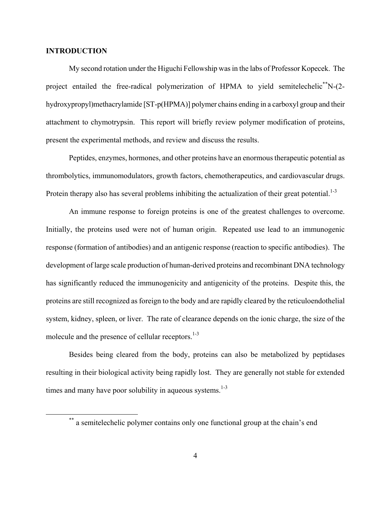#### <span id="page-3-0"></span>**INTRODUCTION**

My second rotation under the Higuchi Fellowship was in the labs of Professor Kopecek. The project entailed the free-radical polymerization of HPMA to vield semitelechelic<sup>\*\*</sup>N-(2hydroxypropyl)methacrylamide [ST-p(HPMA)] polymer chains ending in a carboxyl group and their attachment to chymotrypsin. This report will briefly review polymer modification of proteins, present the experimental methods, and review and discuss the results.

Peptides, enzymes, hormones, and other proteins have an enormous therapeutic potential as thrombolytics, immunomodulators, growth factors, chemotherapeutics, and cardiovascular drugs. Protein therapy also has several problems inhibiting the actualization of their great potential. $1-3$ 

An immune response to foreign proteins is one of the greatest challenges to overcome. Initially, the proteins used were not of human origin. Repeated use lead to an immunogenic response (formation of antibodies) and an antigenic response (reaction to specific antibodies). The development of large scale production of human-derived proteins and recombinant DNA technology has significantly reduced the immunogenicity and antigenicity of the proteins. Despite this, the proteins are still recognized as foreign to the body and are rapidly cleared by the reticuloendothelial system, kidney, spleen, or liver. The rate of clearance depends on the ionic charge, the size of the molecule and the presence of cellular receptors.<sup>1-3</sup>

Besides being cleared from the body, proteins can also be metabolized by peptidases resulting in their biological activity being rapidly lost. They are generally not stable for extended times and many have poor solubility in aqueous systems.<sup>1-3</sup>

<span id="page-3-1"></span><sup>\*\*</sup> a semitelechelic polymer contains only one functional group at the chain's end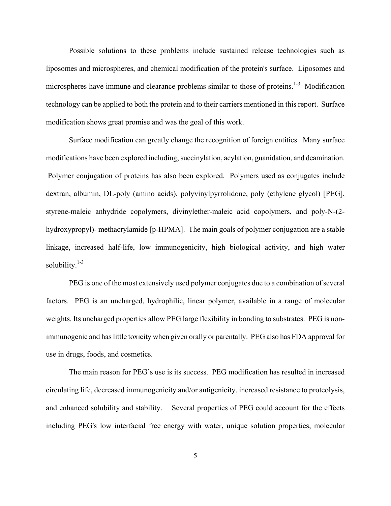Possible solutions to these problems include sustained release technologies such as liposomes and microspheres, and chemical modification of the protein's surface. Liposomes and microspheres have immune and clearance problems similar to those of proteins.<sup>1-3</sup> Modification technology can be applied to both the protein and to their carriers mentioned in this report. Surface modification shows great promise and was the goal of this work.

Surface modification can greatly change the recognition of foreign entities. Many surface modifications have been explored including, succinylation, acylation, guanidation, and deamination. Polymer conjugation of proteins has also been explored. Polymers used as conjugates include dextran, albumin, DL-poly (amino acids), polyvinylpyrrolidone, poly (ethylene glycol) [PEG], styrene-maleic anhydride copolymers, divinylether-maleic acid copolymers, and poly-N-(2 hydroxypropyl)- methacrylamide [p-HPMA]. The main goals of polymer conjugation are a stable linkage, increased half-life, low immunogenicity, high biological activity, and high water solubility. $1-3$ 

PEG is one of the most extensively used polymer conjugates due to a combination of several factors. PEG is an uncharged, hydrophilic, linear polymer, available in a range of molecular weights. Its uncharged properties allow PEG large flexibility in bonding to substrates. PEG is nonimmunogenic and has little toxicity when given orally or parentally. PEG also has FDA approval for use in drugs, foods, and cosmetics.

The main reason for PEG's use is its success. PEG modification has resulted in increased circulating life, decreased immunogenicity and/or antigenicity, increased resistance to proteolysis, and enhanced solubility and stability. Several properties of PEG could account for the effects including PEG's low interfacial free energy with water, unique solution properties, molecular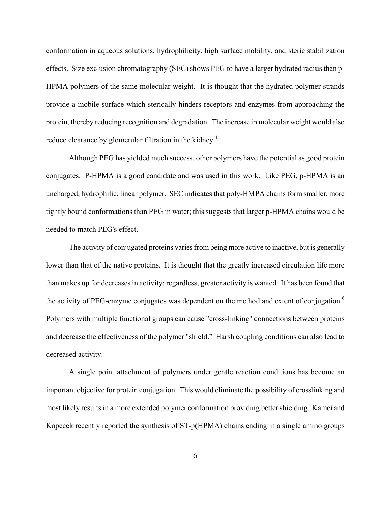conformation in aqueous solutions, hydrophilicity, high surface mobility, and steric stabilization effects. Size exclusion chromatography (SEC) shows PEG to have a larger hydrated radius than p-HPMA polymers of the same molecular weight. It is thought that the hydrated polymer strands provide a mobile surface which sterically hinders receptors and enzymes from approaching the protein, thereby reducing recognition and degradation. The increase in molecular weight would also reduce clearance by glomerular filtration in the kidney.<sup>1-5</sup>

Although PEG has yielded much success, other polymers have the potential as good protein conjugates. P-HPMA is a good candidate and was used in this work. Like PEG, p-HPMA is an uncharged, hydrophilic, linear polymer. SEC indicates that poly-HMPA chains form smaller, more tightly bound conformations than PEG in water; this suggests that larger p-HPMA chains would be needed to match PEG's effect.

The activity of conjugated proteins varies from being more active to inactive, but is generally lower than that of the native proteins. It is thought that the greatly increased circulation life more than makes up for decreases in activity; regardless, greater activity is wanted. It has been found that the activity of PEG-enzyme conjugates was dependent on the method and extent of conjugation.<sup>6</sup> Polymers with multiple functional groups can cause "cross-linking" connections between proteins and decrease the effectiveness of the polymer "shield." Harsh coupling conditions can also lead to decreased activity.

A single point attachment of polymers under gentle reaction conditions has become an important objective for protein conjugation. This would eliminate the possibility of crosslinking and most likely results in a more extended polymer conformation providing better shielding. Kamei and Kopecek recently reported the synthesis of ST-p(HPMA) chains ending in a single amino groups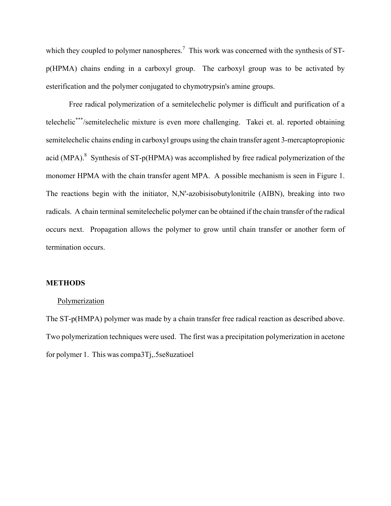<span id="page-6-0"></span>which they coupled to polymer nanospheres.<sup>7</sup> This work was concerned with the synthesis of STp(HPMA) chains ending in a carboxyl group. The carboxyl group was to be activated by esterification and the polymer conjugated to chymotrypsin's amine groups.

Free radical polymerization of a semitelechelic polymer is difficult and purification of a telechelic\*[\\*\\*/](#page-6-1)semitelechelic mixture is even more challenging. Takei et. al. reported obtaining semitelechelic chains ending in carboxyl groups using the chain transfer agent 3-mercaptopropionic acid (MPA).<sup>8</sup> Synthesis of ST-p(HPMA) was accomplished by free radical polymerization of the monomer HPMA with the chain transfer agent MPA. A possible mechanism is seen in Figure 1. The reactions begin with the initiator, N,N'-azobisisobutylonitrile (AIBN), breaking into two radicals. A chain terminal semitelechelic polymer can be obtained if the chain transfer of the radical occurs next. Propagation allows the polymer to grow until chain transfer or another form of termination occurs.

## **METHODS**

#### Polymerization

<span id="page-6-1"></span>The ST-p(HMPA) polymer was made by a chain transfer free radical reaction as described above. Two polymerization techniques were used. The first was a precipitation polymerization in acetone for polymer 1. This was compa3Tj, 5se8uzatioel ,.5se8uzatioel effor polym erization in the polym erization is made that  $p$  is made the material of  $p$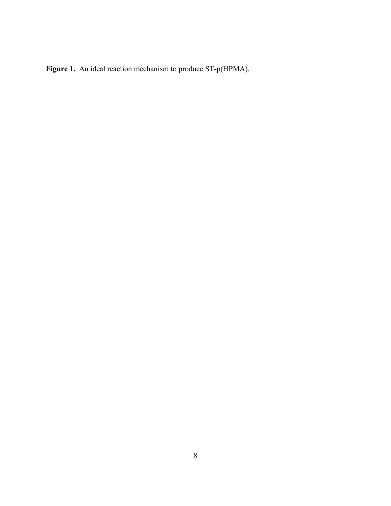**Figure 1.** An ideal reaction mechanism to produce ST-p(HPMA).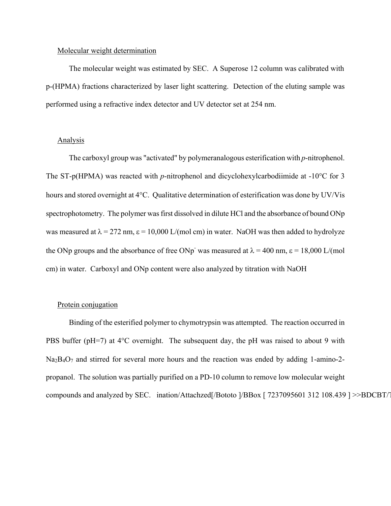#### <span id="page-8-0"></span>Molecular weight determination

The molecular weight was estimated by SEC. A Superose 12 column was calibrated with p-(HPMA) fractions characterized by laser light scattering. Detection of the eluting sample was performed using a refractive index detector and UV detector set at 254 nm.

### Analysis

The carboxyl group was "activated" by polymeranalogous esterification with *p*-nitrophenol. The ST-p(HPMA) was reacted with *p*-nitrophenol and dicyclohexylcarbodiimide at -10°C for 3 hours and stored overnight at 4°C. Qualitative determination of esterification was done by UV/Vis spectrophotometry. The polymer was first dissolved in dilute HCl and the absorbance of bound ONp was measured at  $\lambda = 272$  nm,  $\varepsilon = 10,000$  L/(mol cm) in water. NaOH was then added to hydrolyze the ONp groups and the absorbance of free ONp<sup>-</sup> was measured at  $\lambda = 400$  nm,  $\epsilon = 18,000$  L/(mol cm) in water. Carboxyl and ONp content were also analyzed by titration with NaOH

#### Protein conjugation

Binding of the esterified polymer to chymotrypsin was attempted. The reaction occurred in PBS buffer (pH=7) at 4<sup>o</sup>C overnight. The subsequent day, the pH was raised to about 9 with  $Na<sub>2</sub>B<sub>4</sub>O<sub>7</sub>$  and stirred for several more hours and the reaction was ended by adding 1-amino-2propanol. The solution was partially purified on a PD-10 column to remove low molecular weight compounds and analyzed by SEC. ination/Attachzed[/Bototo ]/BBox [7237095601 312 108.439 ] >>BDCBT/1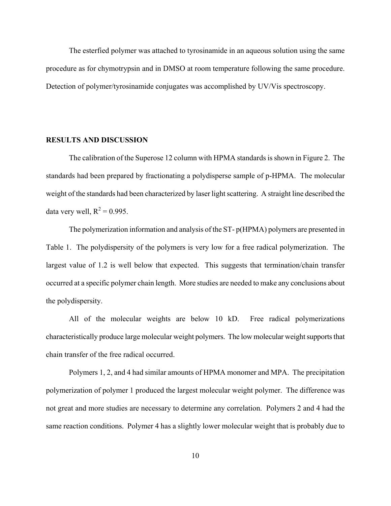<span id="page-9-0"></span>The esterfied polymer was attached to tyrosinamide in an aqueous solution using the same procedure as for chymotrypsin and in DMSO at room temperature following the same procedure. Detection of polymer/tyrosinamide conjugates was accomplished by UV/Vis spectroscopy.

#### **RESULTS AND DISCUSSION**

The calibration of the Superose 12 column with HPMA standards is shown in Figure 2. The standards had been prepared by fractionating a polydisperse sample of p-HPMA. The molecular weight of the standards had been characterized by laser light scattering. A straight line described the data very well,  $R^2 = 0.995$ .

The polymerization information and analysis of the ST- p(HPMA) polymers are presented in Table 1. The polydispersity of the polymers is very low for a free radical polymerization. The largest value of 1.2 is well below that expected. This suggests that termination/chain transfer occurred at a specific polymer chain length. More studies are needed to make any conclusions about the polydispersity.

All of the molecular weights are below 10 kD. Free radical polymerizations characteristically produce large molecular weight polymers. The low molecular weight supports that chain transfer of the free radical occurred.

Polymers 1, 2, and 4 had similar amounts of HPMA monomer and MPA. The precipitation polymerization of polymer 1 produced the largest molecular weight polymer. The difference was not great and more studies are necessary to determine any correlation. Polymers 2 and 4 had the same reaction conditions. Polymer 4 has a slightly lower molecular weight that is probably due to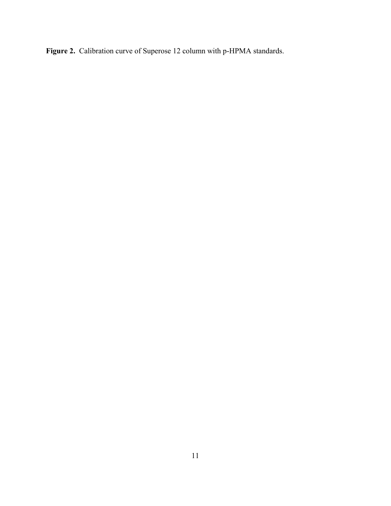**Figure 2.** Calibration curve of Superose 12 column with p-HPMA standards.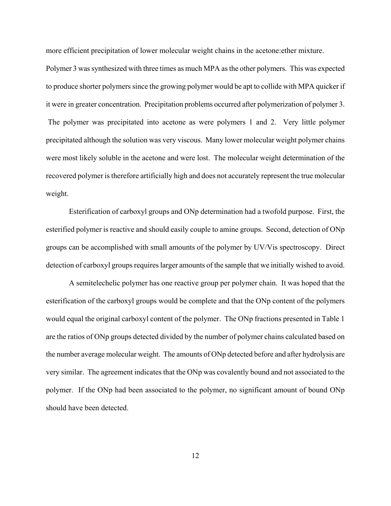more efficient precipitation of lower molecular weight chains in the acetone:ether mixture.

Polymer 3 was synthesized with three times as much MPA as the other polymers. This was expected to produce shorter polymers since the growing polymer would be apt to collide with MPA quicker if it were in greater concentration. Precipitation problems occurred after polymerization of polymer 3. The polymer was precipitated into acetone as were polymers 1 and 2. Very little polymer precipitated although the solution was very viscous. Many lower molecular weight polymer chains were most likely soluble in the acetone and were lost. The molecular weight determination of the recovered polymer is therefore artificially high and does not accurately represent the true molecular weight.

Esterification of carboxyl groups and ONp determination had a twofold purpose. First, the esterified polymer is reactive and should easily couple to amine groups. Second, detection of ONp groups can be accomplished with small amounts of the polymer by UV/Vis spectroscopy. Direct detection of carboxyl groups requires larger amounts of the sample that we initially wished to avoid.

A semitelechelic polymer has one reactive group per polymer chain. It was hoped that the esterification of the carboxyl groups would be complete and that the ONp content of the polymers would equal the original carboxyl content of the polymer. The ONp fractions presented in Table 1 are the ratios of ONp groups detected divided by the number of polymer chains calculated based on the number average molecular weight. The amounts of ONp detected before and after hydrolysis are very similar. The agreement indicates that the ONp was covalently bound and not associated to the polymer. If the ONp had been associated to the polymer, no significant amount of bound ONp should have been detected.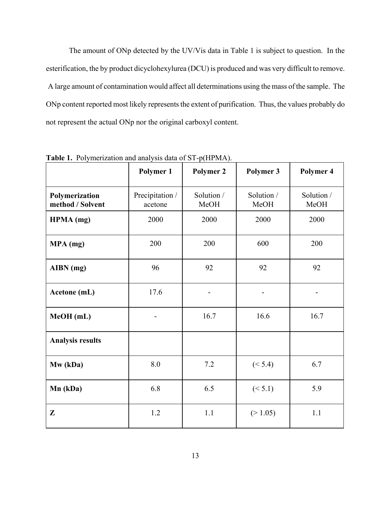The amount of ONp detected by the UV/Vis data in Table 1 is subject to question. In the esterification, the by product dicyclohexylurea (DCU) is produced and was very difficult to remove. A large amount of contamination would affect all determinations using the mass of the sample. The ONp content reported most likely represents the extent of purification. Thus, the values probably do not represent the actual ONp nor the original carboxyl content.

|                                    | Polymer 1                  | $\cdots$<br><b>Polymer 2</b> | Polymer 3          | Polymer 4          |
|------------------------------------|----------------------------|------------------------------|--------------------|--------------------|
| Polymerization<br>method / Solvent | Precipitation /<br>acetone | Solution /<br>MeOH           | Solution /<br>MeOH | Solution /<br>MeOH |
| HPMA (mg)                          | 2000                       | 2000                         | 2000               | 2000               |
| MPA (mg)                           | 200                        | 200                          | 600                | 200                |
| AIBN (mg)                          | 96                         | 92                           | 92                 | 92                 |
| Acetone (mL)                       | 17.6                       | -                            | -                  |                    |
| MeOH (mL)                          |                            | 16.7                         | 16.6               | 16.7               |
| <b>Analysis results</b>            |                            |                              |                    |                    |
| Mw (kDa)                           | 8.0                        | 7.2                          | (< 5.4)            | 6.7                |
| Mn (kDa)                           | 6.8                        | 6.5                          | (< 5.1)            | 5.9                |
| Z                                  | 1.2                        | 1.1                          | (>1.05)            | 1.1                |

**Table 1.** Polymerization and analysis data of ST-p(HPMA).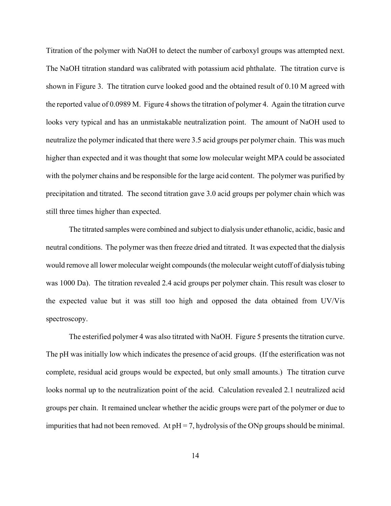Titration of the polymer with NaOH to detect the number of carboxyl groups was attempted next. The NaOH titration standard was calibrated with potassium acid phthalate. The titration curve is shown in Figure 3. The titration curve looked good and the obtained result of 0.10 M agreed with the reported value of 0.0989 M. Figure 4 shows the titration of polymer 4. Again the titration curve looks very typical and has an unmistakable neutralization point. The amount of NaOH used to neutralize the polymer indicated that there were 3.5 acid groups per polymer chain. This was much higher than expected and it was thought that some low molecular weight MPA could be associated with the polymer chains and be responsible for the large acid content. The polymer was purified by precipitation and titrated. The second titration gave 3.0 acid groups per polymer chain which was still three times higher than expected.

The titrated samples were combined and subject to dialysis under ethanolic, acidic, basic and neutral conditions. The polymer was then freeze dried and titrated. It was expected that the dialysis would remove all lower molecular weight compounds (the molecular weight cutoff of dialysis tubing was 1000 Da). The titration revealed 2.4 acid groups per polymer chain. This result was closer to the expected value but it was still too high and opposed the data obtained from UV/Vis spectroscopy.

The esterified polymer 4 was also titrated with NaOH. Figure 5 presents the titration curve. The pH was initially low which indicates the presence of acid groups. (If the esterification was not complete, residual acid groups would be expected, but only small amounts.) The titration curve looks normal up to the neutralization point of the acid. Calculation revealed 2.1 neutralized acid groups per chain. It remained unclear whether the acidic groups were part of the polymer or due to impurities that had not been removed. At  $pH = 7$ , hydrolysis of the ONp groups should be minimal.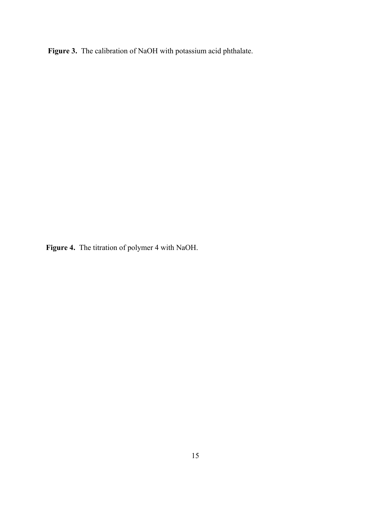**Figure 3.** The calibration of NaOH with potassium acid phthalate.

**Figure 4.** The titration of polymer 4 with NaOH.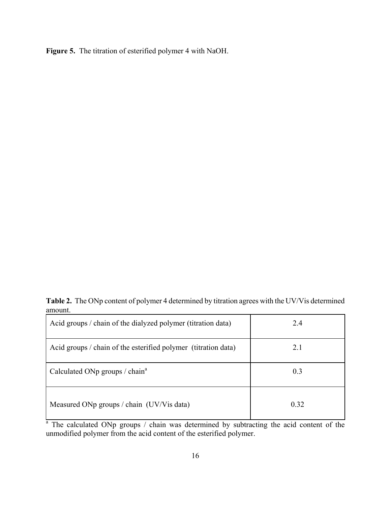**Figure 5.** The titration of esterified polymer 4 with NaOH.

**Table 2.** The ONp content of polymer 4 determined by titration agrees with the UV/Vis determined amount.

| Acid groups / chain of the dialyzed polymer (titration data)   | 2.4  |
|----------------------------------------------------------------|------|
| Acid groups / chain of the esterified polymer (titration data) | 2.1  |
| Calculated ONp groups / chain <sup>a</sup>                     | 0.3  |
| Measured ONp groups / chain (UV/Vis data)                      | 0.32 |

<sup>a</sup> The calculated ONp groups / chain was determined by subtracting the acid content of the unmodified polymer from the acid content of the esterified polymer.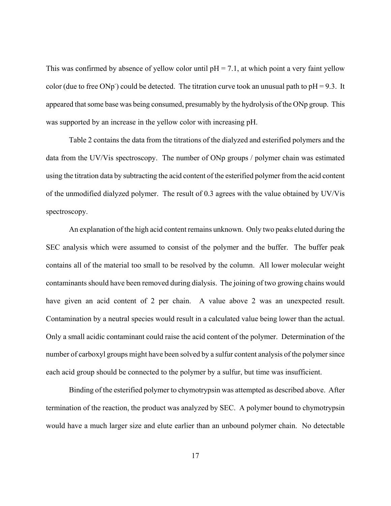This was confirmed by absence of yellow color until  $pH = 7.1$ , at which point a very faint yellow color (due to free ONp<sup>-</sup>) could be detected. The titration curve took an unusual path to  $pH = 9.3$ . It appeared that some base was being consumed, presumably by the hydrolysis of the ONp group. This was supported by an increase in the yellow color with increasing pH.

Table 2 contains the data from the titrations of the dialyzed and esterified polymers and the data from the UV/Vis spectroscopy. The number of ONp groups / polymer chain was estimated using the titration data by subtracting the acid content of the esterified polymer from the acid content of the unmodified dialyzed polymer. The result of 0.3 agrees with the value obtained by UV/Vis spectroscopy.

An explanation of the high acid content remains unknown. Only two peaks eluted during the SEC analysis which were assumed to consist of the polymer and the buffer. The buffer peak contains all of the material too small to be resolved by the column. All lower molecular weight contaminants should have been removed during dialysis. The joining of two growing chains would have given an acid content of 2 per chain. A value above 2 was an unexpected result. Contamination by a neutral species would result in a calculated value being lower than the actual. Only a small acidic contaminant could raise the acid content of the polymer. Determination of the number of carboxyl groups might have been solved by a sulfur content analysis of the polymer since each acid group should be connected to the polymer by a sulfur, but time was insufficient.

Binding of the esterified polymer to chymotrypsin was attempted as described above. After termination of the reaction, the product was analyzed by SEC. A polymer bound to chymotrypsin would have a much larger size and elute earlier than an unbound polymer chain. No detectable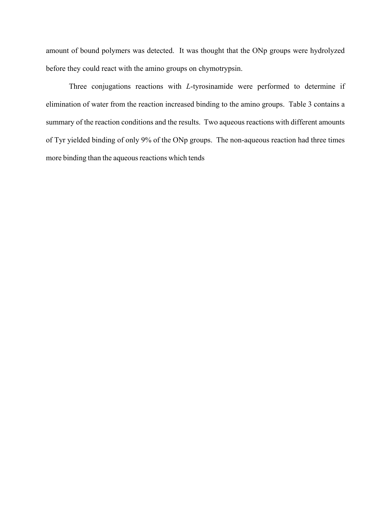amount of bound polymers was detected. It was thought that the ONp groups were hydrolyzed before they could react with the amino groups on chymotrypsin.

Three conjugations reactions with *L*-tyrosinamide were performed to determine if elimination of water from the reaction increased binding to the amino groups. Table 3 contains a summary of the reaction conditions and the results. Two aqueous reactions with different amounts of Tyr yielded binding of only 9% of the ONp groups. The non-aqueous reaction had three times more binding than the aqueous reactions which tends